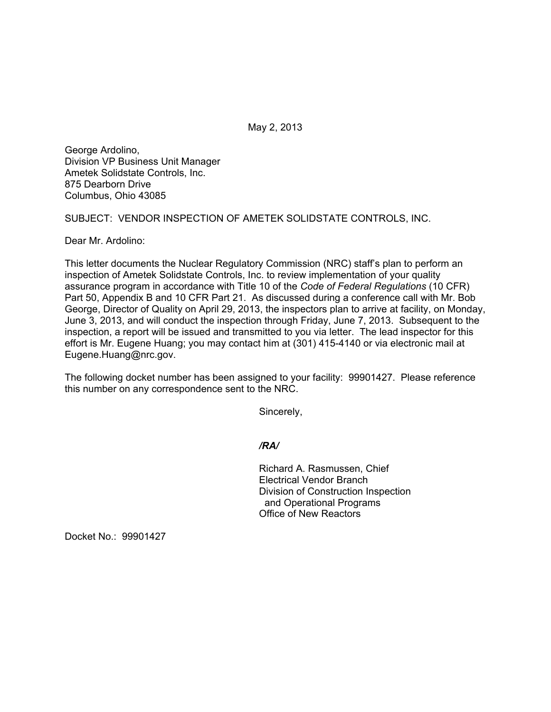May 2, 2013

George Ardolino, Division VP Business Unit Manager Ametek Solidstate Controls, Inc. 875 Dearborn Drive Columbus, Ohio 43085

SUBJECT: VENDOR INSPECTION OF AMETEK SOLIDSTATE CONTROLS, INC.

Dear Mr. Ardolino:

This letter documents the Nuclear Regulatory Commission (NRC) staff's plan to perform an inspection of Ametek Solidstate Controls, Inc. to review implementation of your quality assurance program in accordance with Title 10 of the *Code of Federal Regulations* (10 CFR) Part 50, Appendix B and 10 CFR Part 21. As discussed during a conference call with Mr. Bob George, Director of Quality on April 29, 2013, the inspectors plan to arrive at facility, on Monday, June 3, 2013, and will conduct the inspection through Friday, June 7, 2013. Subsequent to the inspection, a report will be issued and transmitted to you via letter. The lead inspector for this effort is Mr. Eugene Huang; you may contact him at (301) 415-4140 or via electronic mail at Eugene.Huang@nrc.gov.

The following docket number has been assigned to your facility: 99901427. Please reference this number on any correspondence sent to the NRC.

Sincerely,

*/RA/* 

Richard A. Rasmussen, Chief Electrical Vendor Branch Division of Construction Inspection and Operational Programs Office of New Reactors

Docket No.: 99901427